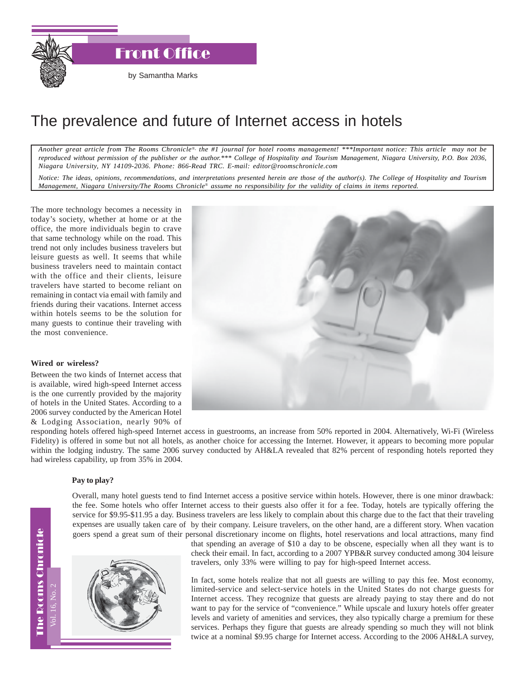

Front Office

# The prevalence and future of Internet access in hotels

*Another great article from The Rooms Chronicle*®*, the #1 journal for hotel rooms management! \*\*\*Important notice: This article may not be reproduced without permission of the publisher or the author.\*\*\* College of Hospitality and Tourism Management, Niagara University, P.O. Box 2036, Niagara University, NY 14109-2036. Phone: 866-Read TRC. E-mail: editor@roomschronicle.com*

*Notice: The ideas, opinions, recommendations, and interpretations presented herein are those of the author(s). The College of Hospitality and Tourism Management, Niagara University/The Rooms Chronicle*® *assume no responsibility for the validity of claims in items reported.*

The more technology becomes a necessity in today's society, whether at home or at the office, the more individuals begin to crave that same technology while on the road. This trend not only includes business travelers but leisure guests as well. It seems that while business travelers need to maintain contact with the office and their clients, leisure travelers have started to become reliant on remaining in contact via email with family and friends during their vacations. Internet access within hotels seems to be the solution for many guests to continue their traveling with the most convenience.

## **Wired or wireless?**

Between the two kinds of Internet access that is available, wired high-speed Internet access is the one currently provided by the majority of hotels in the United States. According to a 2006 survey conducted by the American Hotel & Lodging Association, nearly 90% of



responding hotels offered high-speed Internet access in guestrooms, an increase from 50% reported in 2004. Alternatively, Wi-Fi (Wireless Fidelity) is offered in some but not all hotels, as another choice for accessing the Internet. However, it appears to becoming more popular within the lodging industry. The same 2006 survey conducted by AH&LA revealed that 82% percent of responding hotels reported they had wireless capability, up from 35% in 2004.

#### **Pay to play?**

Overall, many hotel guests tend to find Internet access a positive service within hotels. However, there is one minor drawback: the fee. Some hotels who offer Internet access to their guests also offer it for a fee. Today, hotels are typically offering the service for \$9.95-\$11.95 a day. Business travelers are less likely to complain about this charge due to the fact that their traveling expenses are usually taken care of by their company. Leisure travelers, on the other hand, are a different story. When vacation goers spend a great sum of their personal discretionary income on flights, hotel reservations and local attractions, many find



that spending an average of \$10 a day to be obscene, especially when all they want is to check their email. In fact, according to a 2007 YPB&R survey conducted among 304 leisure travelers, only 33% were willing to pay for high-speed Internet access.

In fact, some hotels realize that not all guests are willing to pay this fee. Most economy, limited-service and select-service hotels in the United States do not charge guests for Internet access. They recognize that guests are already paying to stay there and do not want to pay for the service of "convenience." While upscale and luxury hotels offer greater levels and variety of amenities and services, they also typically charge a premium for these services. Perhaps they figure that guests are already spending so much they will not blink twice at a nominal \$9.95 charge for Internet access. According to the 2006 AH&LA survey,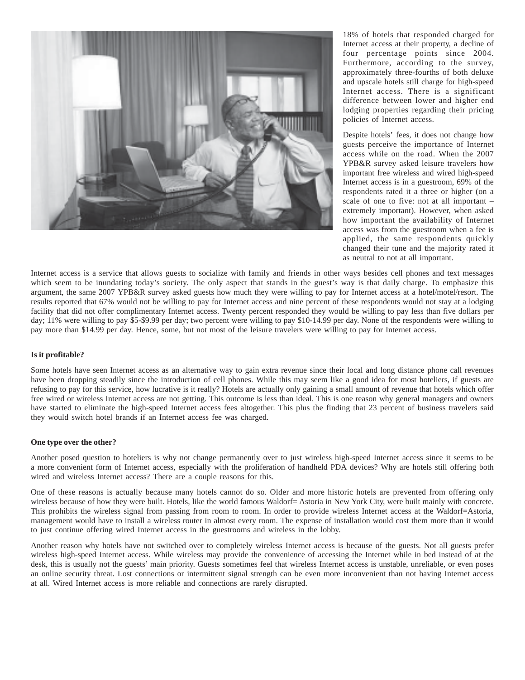

18% of hotels that responded charged for Internet access at their property, a decline of four percentage points since 2004. Furthermore, according to the survey, approximately three-fourths of both deluxe and upscale hotels still charge for high-speed Internet access. There is a significant difference between lower and higher end lodging properties regarding their pricing policies of Internet access.

Despite hotels' fees, it does not change how guests perceive the importance of Internet access while on the road. When the 2007 YPB&R survey asked leisure travelers how important free wireless and wired high-speed Internet access is in a guestroom, 69% of the respondents rated it a three or higher (on a scale of one to five: not at all important – extremely important). However, when asked how important the availability of Internet access was from the guestroom when a fee is applied, the same respondents quickly changed their tune and the majority rated it as neutral to not at all important.

Internet access is a service that allows guests to socialize with family and friends in other ways besides cell phones and text messages which seem to be inundating today's society. The only aspect that stands in the guest's way is that daily charge. To emphasize this argument, the same 2007 YPB&R survey asked guests how much they were willing to pay for Internet access at a hotel/motel/resort. The results reported that 67% would not be willing to pay for Internet access and nine percent of these respondents would not stay at a lodging facility that did not offer complimentary Internet access. Twenty percent responded they would be willing to pay less than five dollars per day; 11% were willing to pay \$5-\$9.99 per day; two percent were willing to pay \$10-14.99 per day. None of the respondents were willing to pay more than \$14.99 per day. Hence, some, but not most of the leisure travelers were willing to pay for Internet access.

## **Is it profitable?**

Some hotels have seen Internet access as an alternative way to gain extra revenue since their local and long distance phone call revenues have been dropping steadily since the introduction of cell phones. While this may seem like a good idea for most hoteliers, if guests are refusing to pay for this service, how lucrative is it really? Hotels are actually only gaining a small amount of revenue that hotels which offer free wired or wireless Internet access are not getting. This outcome is less than ideal. This is one reason why general managers and owners have started to eliminate the high-speed Internet access fees altogether. This plus the finding that 23 percent of business travelers said they would switch hotel brands if an Internet access fee was charged.

#### **One type over the other?**

Another posed question to hoteliers is why not change permanently over to just wireless high-speed Internet access since it seems to be a more convenient form of Internet access, especially with the proliferation of handheld PDA devices? Why are hotels still offering both wired and wireless Internet access? There are a couple reasons for this.

One of these reasons is actually because many hotels cannot do so. Older and more historic hotels are prevented from offering only wireless because of how they were built. Hotels, like the world famous Waldorf= Astoria in New York City, were built mainly with concrete. This prohibits the wireless signal from passing from room to room. In order to provide wireless Internet access at the Waldorf=Astoria, management would have to install a wireless router in almost every room. The expense of installation would cost them more than it would to just continue offering wired Internet access in the guestrooms and wireless in the lobby.

Another reason why hotels have not switched over to completely wireless Internet access is because of the guests. Not all guests prefer wireless high-speed Internet access. While wireless may provide the convenience of accessing the Internet while in bed instead of at the desk, this is usually not the guests' main priority. Guests sometimes feel that wireless Internet access is unstable, unreliable, or even poses an online security threat. Lost connections or intermittent signal strength can be even more inconvenient than not having Internet access at all. Wired Internet access is more reliable and connections are rarely disrupted.